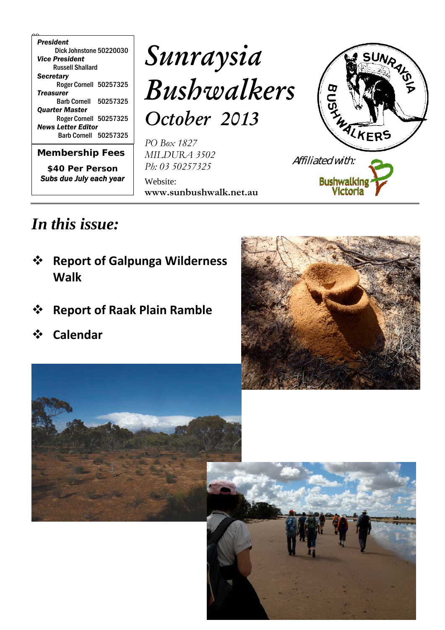00 *President* Dick Johnstone 50220030 *Vice President* Russell Shallard *Secretary* Roger Cornell 50257325 *Treasurer* Barb Cornell 50257325 *Quarter Master* Roger Cornell 50257325 *News Letter Editor* Barb Cornell 50257325

*Membership Fees*

 $\overline{\phantom{0}}$ 

*\$40 Per Person Subs due July each year*

# *Sunraysia Bushwalkers October 2013*

*PO Box 1827 MILDURA 3502 Ph: 03 50257325*

Website: **www.sunbushwalk.net.au**



## *In this issue:*

- **Report of Galpunga Wilderness Walk**
- **Report of Raak Plain Ramble**
- **Calendar**





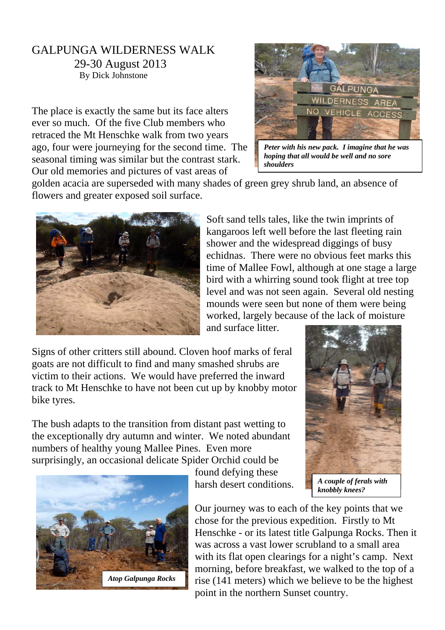#### GALPUNGA WILDERNESS WALK 29-30 August 2013 By Dick Johnstone

The place is exactly the same but its face alters ever so much. Of the five Club members who retraced the Mt Henschke walk from two years ago, four were journeying for the second time. The seasonal timing was similar but the contrast stark. Our old memories and pictures of vast areas of



*Peter with his new pack. I imagine that he was hoping that all would be well and no sore shoulders*

golden acacia are superseded with many shades of green grey shrub land, an absence of flowers and greater exposed soil surface.



Soft sand tells tales, like the twin imprints of kangaroos left well before the last fleeting rain shower and the widespread diggings of busy echidnas. There were no obvious feet marks this time of Mallee Fowl, although at one stage a large bird with a whirring sound took flight at tree top level and was not seen again. Several old nesting mounds were seen but none of them were being worked, largely because of the lack of moisture

and surface litter.

Signs of other critters still abound. Cloven hoof marks of feral goats are not difficult to find and many smashed shrubs are victim to their actions. We would have preferred the inward track to Mt Henschke to have not been cut up by knobby motor bike tyres.

The bush adapts to the transition from distant past wetting to the exceptionally dry autumn and winter. We noted abundant numbers of healthy young Mallee Pines. Even more surprisingly, an occasional delicate Spider Orchid could be



found defying these harsh desert conditions.



*knobbly knees?*

Our journey was to each of the key points that we chose for the previous expedition. Firstly to Mt Henschke - or its latest title Galpunga Rocks. Then it was across a vast lower scrubland to a small area with its flat open clearings for a night's camp. Next morning, before breakfast, we walked to the top of a rise (141 meters) which we believe to be the highest point in the northern Sunset country.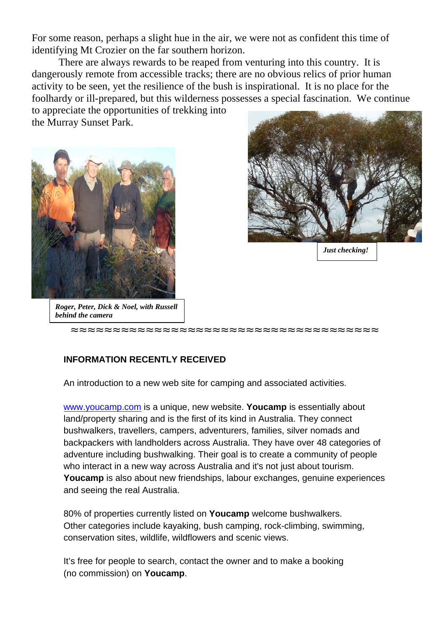For some reason, perhaps a slight hue in the air, we were not as confident this time of identifying Mt Crozier on the far southern horizon.

There are always rewards to be reaped from venturing into this country. It is dangerously remote from accessible tracks; there are no obvious relics of prior human activity to be seen, yet the resilience of the bush is inspirational. It is no place for the foolhardy or ill-prepared, but this wilderness possesses a special fascination. We continue

to appreciate the opportunities of trekking into the Murray Sunset Park.





*Just checking!*

*Roger, Peter, Dick & Noel, with Russell behind the camera*

**≈≈≈≈≈≈≈≈≈≈≈≈≈≈≈≈≈≈≈≈≈≈≈≈≈≈≈≈≈≈≈≈≈≈≈≈≈**

#### **INFORMATION RECENTLY RECEIVED**

An introduction to a new web site for camping and associated activities.

www.youcamp.com is a unique, new website. **Youcamp** is essentially about land/property sharing and is the first of its kind in Australia. They connect bushwalkers, travellers, campers, adventurers, families, silver nomads and backpackers with landholders across Australia. They have over 48 categories of adventure including bushwalking. Their goal is to create a community of people who interact in a new way across Australia and it's not just about tourism. **Youcamp** is also about new friendships, labour exchanges, genuine experiences and seeing the real Australia.

80% of properties currently listed on **Youcamp** welcome bushwalkers. Other categories include kayaking, bush camping, rock-climbing, swimming, conservation sites, wildlife, wildflowers and scenic views.

It's free for people to search, contact the owner and to make a booking (no commission) on **Youcamp**.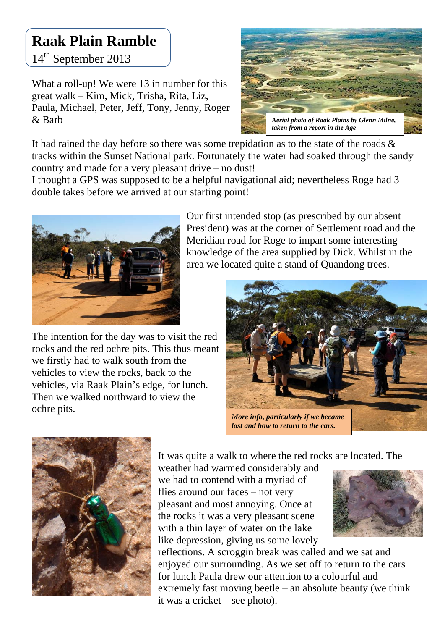## **Raak Plain Ramble**

14<sup>th</sup> September 2013

What a roll-up! We were 13 in number for this great walk – Kim, Mick, Trisha, Rita, Liz, Paula, Michael, Peter, Jeff, Tony, Jenny, Roger & Barb



It had rained the day before so there was some trepidation as to the state of the roads & tracks within the Sunset National park. Fortunately the water had soaked through the sandy country and made for a very pleasant drive – no dust!

I thought a GPS was supposed to be a helpful navigational aid; nevertheless Roge had 3 double takes before we arrived at our starting point!



The intention for the day was to visit the red rocks and the red ochre pits. This thus meant we firstly had to walk south from the vehicles to view the rocks, back to the vehicles, via Raak Plain's edge, for lunch. Then we walked northward to view the ochre pits.

Our first intended stop (as prescribed by our absent President) was at the corner of Settlement road and the Meridian road for Roge to impart some interesting knowledge of the area supplied by Dick. Whilst in the area we located quite a stand of Quandong trees.





It was quite a walk to where the red rocks are located. The

weather had warmed considerably and we had to contend with a myriad of flies around our faces – not very pleasant and most annoying. Once at the rocks it was a very pleasant scene with a thin layer of water on the lake like depression, giving us some lovely



reflections. A scroggin break was called and we sat and enjoyed our surrounding. As we set off to return to the cars for lunch Paula drew our attention to a colourful and extremely fast moving beetle – an absolute beauty (we think it was a cricket – see photo).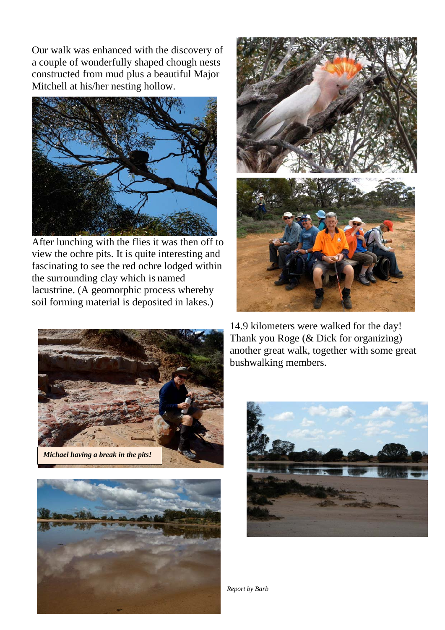Our walk was enhanced with the discovery of a couple of wonderfully shaped chough nests constructed from mud plus a beautiful Major Mitchell at his/her nesting hollow.



After lunching with the flies it was then off to view the ochre pits. It is quite interesting and fascinating to see the red ochre lodged within the surrounding clay which is named lacustrine. (A geomorphic process whereby soil forming material is deposited in lakes.)







14.9 kilometers were walked for the day! Thank you Roge (& Dick for organizing) another great walk, together with some great bushwalking members.



*Report by Barb*